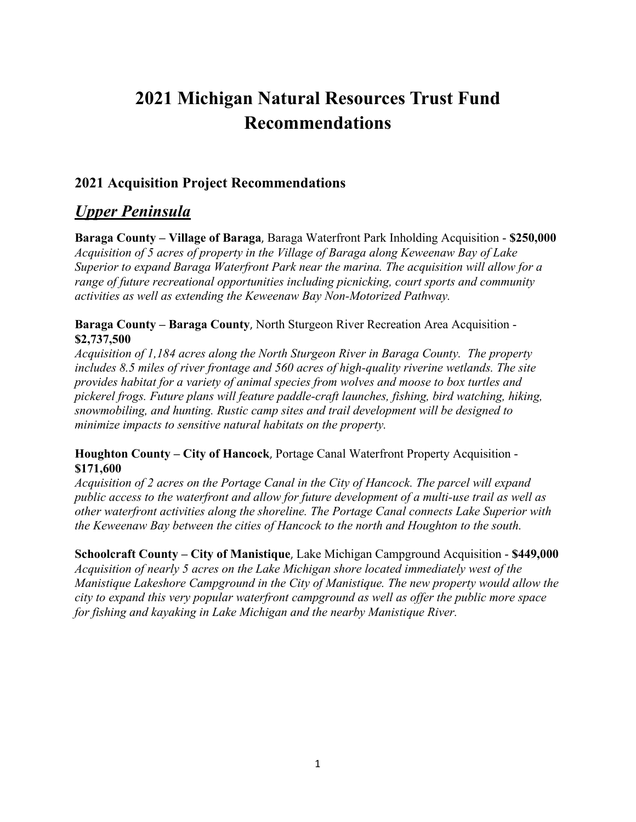# **2021 Michigan Natural Resources Trust Fund Recommendations**

### **2021 Acquisition Project Recommendations**

# *Upper Peninsula*

**Baraga County – Village of Baraga**, Baraga Waterfront Park Inholding Acquisition - **\$250,000** *Acquisition of 5 acres of property in the Village of Baraga along Keweenaw Bay of Lake Superior to expand Baraga Waterfront Park near the marina. The acquisition will allow for a range of future recreational opportunities including picnicking, court sports and community activities as well as extending the Keweenaw Bay Non-Motorized Pathway.*

#### **Baraga County – Baraga County**, North Sturgeon River Recreation Area Acquisition - **\$2,737,500**

*Acquisition of 1,184 acres along the North Sturgeon River in Baraga County. The property includes 8.5 miles of river frontage and 560 acres of high-quality riverine wetlands. The site provides habitat for a variety of animal species from wolves and moose to box turtles and pickerel frogs. Future plans will feature paddle-craft launches, fishing, bird watching, hiking, snowmobiling, and hunting. Rustic camp sites and trail development will be designed to minimize impacts to sensitive natural habitats on the property.*

#### **Houghton County – City of Hancock**, Portage Canal Waterfront Property Acquisition - **\$171,600**

*Acquisition of 2 acres on the Portage Canal in the City of Hancock. The parcel will expand public access to the waterfront and allow for future development of a multi-use trail as well as other waterfront activities along the shoreline. The Portage Canal connects Lake Superior with the Keweenaw Bay between the cities of Hancock to the north and Houghton to the south.*

**Schoolcraft County – City of Manistique**, Lake Michigan Campground Acquisition - **\$449,000** *Acquisition of nearly 5 acres on the Lake Michigan shore located immediately west of the Manistique Lakeshore Campground in the City of Manistique. The new property would allow the city to expand this very popular waterfront campground as well as offer the public more space for fishing and kayaking in Lake Michigan and the nearby Manistique River.*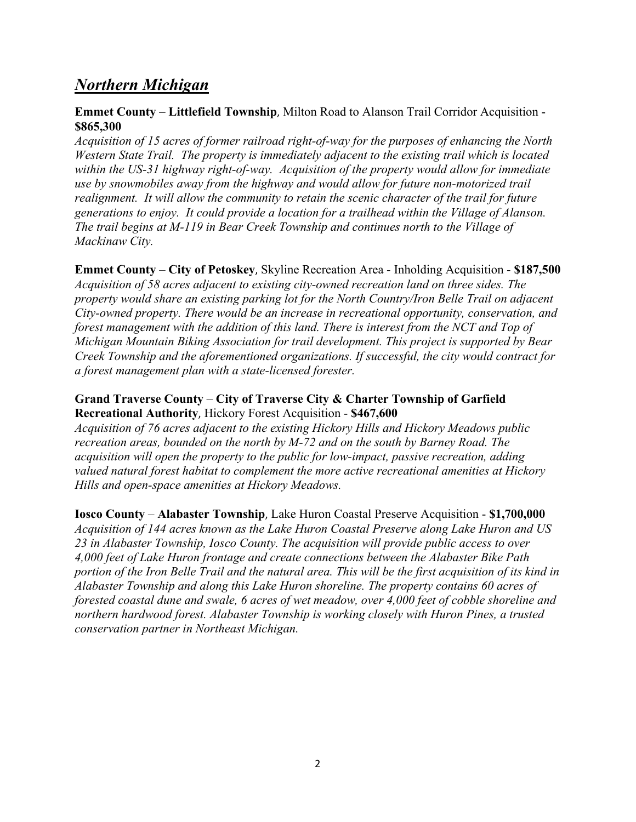# *Northern Michigan*

#### **Emmet County** *–* **Littlefield Township**, Milton Road to Alanson Trail Corridor Acquisition - **\$865,300**

*Acquisition of 15 acres of former railroad right-of-way for the purposes of enhancing the North Western State Trail. The property is immediately adjacent to the existing trail which is located within the US-31 highway right-of-way. Acquisition of the property would allow for immediate use by snowmobiles away from the highway and would allow for future non-motorized trail realignment. It will allow the community to retain the scenic character of the trail for future generations to enjoy. It could provide a location for a trailhead within the Village of Alanson. The trail begins at M-119 in Bear Creek Township and continues north to the Village of Mackinaw City.*

**Emmet County** *–* **City of Petoskey**, Skyline Recreation Area - Inholding Acquisition - **\$187,500** *Acquisition of 58 acres adjacent to existing city-owned recreation land on three sides. The property would share an existing parking lot for the North Country/Iron Belle Trail on adjacent City-owned property. There would be an increase in recreational opportunity, conservation, and forest management with the addition of this land. There is interest from the NCT and Top of Michigan Mountain Biking Association for trail development. This project is supported by Bear Creek Township and the aforementioned organizations. If successful, the city would contract for a forest management plan with a state-licensed forester.*

#### **Grand Traverse County** *–* **City of Traverse City & Charter Township of Garfield Recreational Authority**, Hickory Forest Acquisition - **\$467,600**

*Acquisition of 76 acres adjacent to the existing Hickory Hills and Hickory Meadows public recreation areas, bounded on the north by M-72 and on the south by Barney Road. The acquisition will open the property to the public for low-impact, passive recreation, adding valued natural forest habitat to complement the more active recreational amenities at Hickory Hills and open-space amenities at Hickory Meadows.*

**Iosco County** *–* **Alabaster Township**, Lake Huron Coastal Preserve Acquisition - **\$1,700,000** *Acquisition of 144 acres known as the Lake Huron Coastal Preserve along Lake Huron and US 23 in Alabaster Township, Iosco County. The acquisition will provide public access to over 4,000 feet of Lake Huron frontage and create connections between the Alabaster Bike Path portion of the Iron Belle Trail and the natural area. This will be the first acquisition of its kind in Alabaster Township and along this Lake Huron shoreline. The property contains 60 acres of forested coastal dune and swale, 6 acres of wet meadow, over 4,000 feet of cobble shoreline and northern hardwood forest. Alabaster Township is working closely with Huron Pines, a trusted conservation partner in Northeast Michigan.*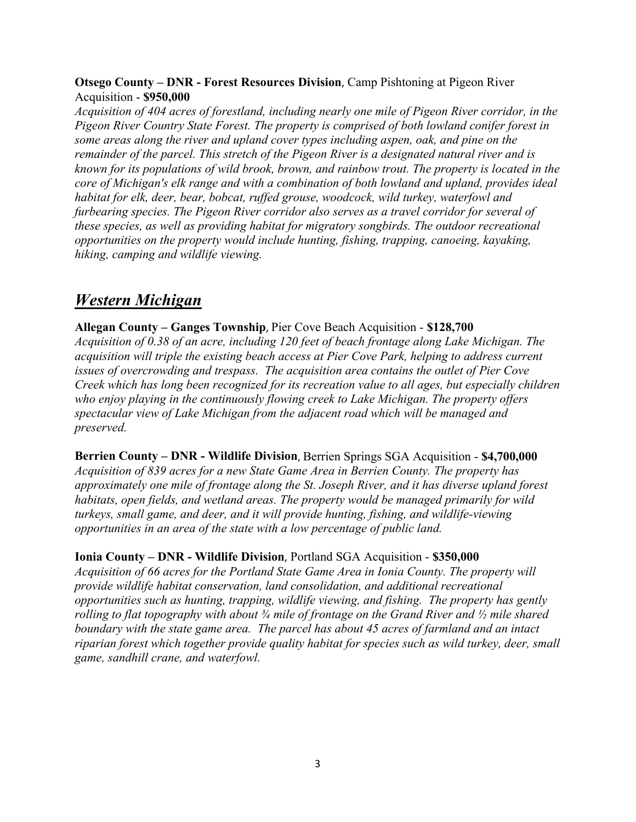#### **Otsego County – DNR - Forest Resources Division**, Camp Pishtoning at Pigeon River Acquisition - **\$950,000**

*Acquisition of 404 acres of forestland, including nearly one mile of Pigeon River corridor, in the Pigeon River Country State Forest. The property is comprised of both lowland conifer forest in some areas along the river and upland cover types including aspen, oak, and pine on the remainder of the parcel. This stretch of the Pigeon River is a designated natural river and is known for its populations of wild brook, brown, and rainbow trout. The property is located in the core of Michigan's elk range and with a combination of both lowland and upland, provides ideal habitat for elk, deer, bear, bobcat, ruffed grouse, woodcock, wild turkey, waterfowl and furbearing species. The Pigeon River corridor also serves as a travel corridor for several of these species, as well as providing habitat for migratory songbirds. The outdoor recreational opportunities on the property would include hunting, fishing, trapping, canoeing, kayaking, hiking, camping and wildlife viewing.*

# *Western Michigan*

**Allegan County – Ganges Township**, Pier Cove Beach Acquisition - **\$128,700** *Acquisition of 0.38 of an acre, including 120 feet of beach frontage along Lake Michigan. The acquisition will triple the existing beach access at Pier Cove Park, helping to address current issues of overcrowding and trespass. The acquisition area contains the outlet of Pier Cove Creek which has long been recognized for its recreation value to all ages, but especially children who enjoy playing in the continuously flowing creek to Lake Michigan. The property offers spectacular view of Lake Michigan from the adjacent road which will be managed and preserved.* 

**Berrien County – DNR - Wildlife Division**, Berrien Springs SGA Acquisition - **\$4,700,000** *Acquisition of 839 acres for a new State Game Area in Berrien County. The property has approximately one mile of frontage along the St. Joseph River, and it has diverse upland forest habitats, open fields, and wetland areas. The property would be managed primarily for wild turkeys, small game, and deer, and it will provide hunting, fishing, and wildlife-viewing opportunities in an area of the state with a low percentage of public land.*

#### **Ionia County – DNR - Wildlife Division**, Portland SGA Acquisition - **\$350,000**

*Acquisition of 66 acres for the Portland State Game Area in Ionia County. The property will provide wildlife habitat conservation, land consolidation, and additional recreational opportunities such as hunting, trapping, wildlife viewing, and fishing. The property has gently rolling to flat topography with about ¾ mile of frontage on the Grand River and ½ mile shared boundary with the state game area. The parcel has about 45 acres of farmland and an intact riparian forest which together provide quality habitat for species such as wild turkey, deer, small game, sandhill crane, and waterfowl.*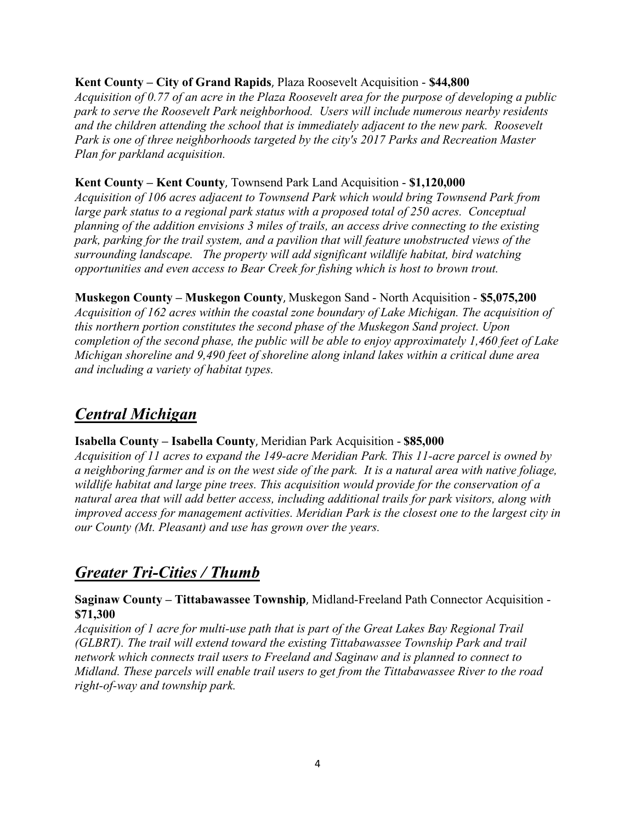#### **Kent County – City of Grand Rapids**, Plaza Roosevelt Acquisition - **\$44,800**

*Acquisition of 0.77 of an acre in the Plaza Roosevelt area for the purpose of developing a public park to serve the Roosevelt Park neighborhood. Users will include numerous nearby residents and the children attending the school that is immediately adjacent to the new park. Roosevelt Park is one of three neighborhoods targeted by the city's 2017 Parks and Recreation Master Plan for parkland acquisition.*

#### **Kent County – Kent County**, Townsend Park Land Acquisition - **\$1,120,000**

*Acquisition of 106 acres adjacent to Townsend Park which would bring Townsend Park from large park status to a regional park status with a proposed total of 250 acres. Conceptual planning of the addition envisions 3 miles of trails, an access drive connecting to the existing park, parking for the trail system, and a pavilion that will feature unobstructed views of the surrounding landscape. The property will add significant wildlife habitat, bird watching opportunities and even access to Bear Creek for fishing which is host to brown trout.*

**Muskegon County – Muskegon County**, Muskegon Sand - North Acquisition - **\$5,075,200** *Acquisition of 162 acres within the coastal zone boundary of Lake Michigan. The acquisition of this northern portion constitutes the second phase of the Muskegon Sand project. Upon completion of the second phase, the public will be able to enjoy approximately 1,460 feet of Lake Michigan shoreline and 9,490 feet of shoreline along inland lakes within a critical dune area and including a variety of habitat types.*

# *Central Michigan*

#### **Isabella County – Isabella County**, Meridian Park Acquisition - **\$85,000**

*Acquisition of 11 acres to expand the 149-acre Meridian Park. This 11-acre parcel is owned by a neighboring farmer and is on the west side of the park. It is a natural area with native foliage, wildlife habitat and large pine trees. This acquisition would provide for the conservation of a natural area that will add better access, including additional trails for park visitors, along with improved access for management activities. Meridian Park is the closest one to the largest city in our County (Mt. Pleasant) and use has grown over the years.*

# *Greater Tri-Cities / Thumb*

#### **Saginaw County – Tittabawassee Township**, Midland-Freeland Path Connector Acquisition - **\$71,300**

*Acquisition of 1 acre for multi-use path that is part of the Great Lakes Bay Regional Trail (GLBRT). The trail will extend toward the existing Tittabawassee Township Park and trail network which connects trail users to Freeland and Saginaw and is planned to connect to Midland. These parcels will enable trail users to get from the Tittabawassee River to the road right-of-way and township park.*